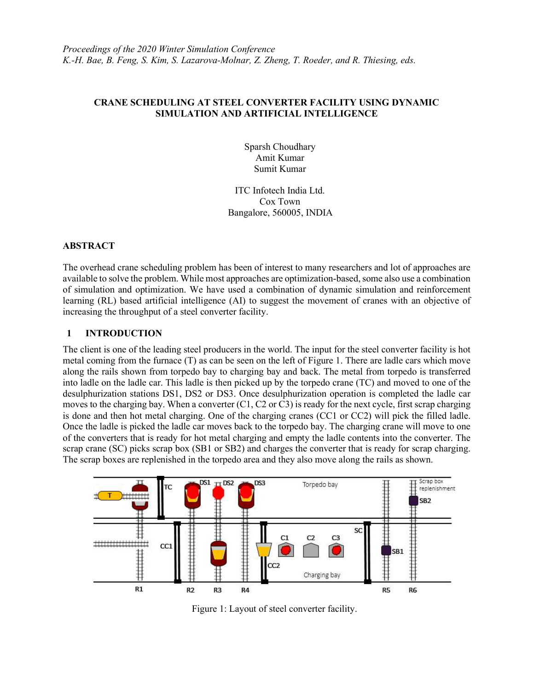### CRANE SCHEDULING AT STEEL CONVERTER FACILITY USING DYNAMIC SIMULATION AND ARTIFICIAL INTELLIGENCE

Sparsh Choudhary Amit Kumar Sumit Kumar

ITC Infotech India Ltd. Cox Town Bangalore, 560005, INDIA

### ABSTRACT

The overhead crane scheduling problem has been of interest to many researchers and lot of approaches are available to solve the problem. While most approaches are optimization-based, some also use a combination of simulation and optimization. We have used a combination of dynamic simulation and reinforcement learning (RL) based artificial intelligence (AI) to suggest the movement of cranes with an objective of increasing the throughput of a steel converter facility.

### 1 INTRODUCTION

The client is one of the leading steel producers in the world. The input for the steel converter facility is hot metal coming from the furnace (T) as can be seen on the left of Figure 1. There are ladle cars which move along the rails shown from torpedo bay to charging bay and back. The metal from torpedo is transferred into ladle on the ladle car. This ladle is then picked up by the torpedo crane (TC) and moved to one of the desulphurization stations DS1, DS2 or DS3. Once desulphurization operation is completed the ladle car moves to the charging bay. When a converter (C1, C2 or C3) is ready for the next cycle, first scrap charging is done and then hot metal charging. One of the charging cranes (CC1 or CC2) will pick the filled ladle. Once the ladle is picked the ladle car moves back to the torpedo bay. The charging crane will move to one of the converters that is ready for hot metal charging and empty the ladle contents into the converter. The scrap crane (SC) picks scrap box (SB1 or SB2) and charges the converter that is ready for scrap charging. The scrap boxes are replenished in the torpedo area and they also move along the rails as shown.



Figure 1: Layout of steel converter facility.